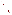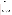| <b>AGENCY:</b>     | <b>ENVIRONMENTAL PROTECTION AGENCY (EPA)</b>                                              |
|--------------------|-------------------------------------------------------------------------------------------|
| TITLE:             | "ACTIVITIES THAT ADVANCE METHANE RECOVERY<br>AND USE AS A CLEAN ENERGY SOURCE"            |
| <b>ACTION:</b>     | <b>Request for Proposals (RFP)</b>                                                        |
| <b>RFP Number:</b> | EPA-OAR-CCD-08-01                                                                         |
| <b>CFDA:</b>       | 66.034                                                                                    |
| <b>SUMMARY:</b>    | <b>Formal Agency responses to frequently asked questions</b><br>regarding the subject RFP |
| DATE:              | February 4, 2008                                                                          |

## *1. Are private companies eligible to receive this grant?*

**No**. Only non-profit entities and governmental entities are eligible to receive this grant. Proposals submitted by for-profit companies will not be considered.

#### *2. Are multilateral organizations eligible for this grant?*

**Yes**. Multilateral organizations are eligible to receive assistance through this RFP and are encouraged to submit proposals.

#### *3. Are international governments eligible for this grant?*

**Yes**. Non-U.S. government entities are eligible to receive assistance through this RFIP and are encouraged to submit proposals. Government entities at the national, regional, local and municipal levels are all eligible.

#### *\*4. Are companies that are wholly state-owned and run entities eligible to receive funding under this grant? (answer has been modified)*

 **It depends.** If they are run as "for-profit" entities they would be considered *ineligible* under this solicitation. As example, this means entities such as PEMEX of Mexico and PetroBras of Brazil are **not** eligible

## *5. Can work be conducted in countries not listed on page two of the Request for Proposals (RFP)?*

**Yes.** On January 15, 2008 the RFP was amended to clarify that the solicitation is open to M2M partner countries that are in the process of applying to join Methane to Markets. Also, Poland was mistakenly left off the list of countries and is eligible. Mongolia has applied for M2M membership so is also eligible. The current list of eligible countries is:

• Argentina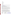- Brazil
- China
- Colombia
- Ecuador
- India
- Korea (Republic of)
- Mexico
- Mongolia
- Nigeria
- Poland
- Russia
- Ukraine
- Vietnam

For information on additional countries that might be applying to join Methane to Markets, check with Henry Ferland with the Methane to Markets Administrative Support Group at (202) 343 9330 or <u>[ferland.henry@epa.gov](mailto:ferland.henry@epa.gov)</u>.

## *6. Are Only M2M country partners eligible?*

## **Eligible entities are listed in Section III of Announcement.**

Proposals will be accepted from States, local governments, territories, Indian Tribes, and possessions of the U.S., including the District of Columbia, international organizations, public and private universities and colleges, hospitals, laboratories, other public or private non-profit institutions.

**As stated in section I, Scope of of the announcement, projects will be** EPA seeks proposals from eligible entities interested in supporting the goals of the Methane to Markets Partnership. This solicitation is specifically for activities and projects that support methane capture and use projects in Methane to Markets developing countries and countries with economies in transition (EITs).

# *7. Are activities or projects completed in the U.S. eligible for this grant?*

**No.** This grant is specifically for activities and projects that support methane capture and use projects in developing countries and countries with economies in transition (EITs). Please note however that U.S. entities undertaking activities to support methane projects in developing countries and EITs are eligible. *Projects and activities focused on promoting methane projects within the U.S. are not within the scope of this RFP and will not be considered.* 

Although this RFP does not focus on domestic methane projects EPA has very active voluntary programs to promote methane capture and use projects within the U.S. in each of the four methane sectors. For more information on these programs please visit the sites indicated below.

| <b>Sector</b> | <b>US EPA Program</b>             | Website                              |
|---------------|-----------------------------------|--------------------------------------|
| Animal Waste  | <b>AgSTAR</b> Program             | http://www.epa.gov/agstar/index.html |
| Management    |                                   |                                      |
| Oil and Gas   | Natural GasSTAR                   | http://www.epa.gov/gasstar/index.htm |
|               |                                   |                                      |
| Coal Mines    | <b>Coal Mine Methane Outreach</b> | http://www.epa.gov/cmop/index.html   |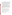|           | Program                   |                                   |
|-----------|---------------------------|-----------------------------------|
| andfills. | Landfill Methane Outreach | http://www.epa.gov/lmop/index.htm |
|           | Program                   |                                   |

## *8. Are projects to promote methane capture and use projects from sources other than the four identified in the RFP eligible for funding? For example would a project or activity that promoted to capture methane capture and use from waste water be eligible for funding?*

**No.** Projects or activities that promote methane capture and use from sources other than those identified in the RFP (animal waste management, coal mines, landfills, and oil and gas systems) are NOT eligible for funding. For example projects or activities that promote methane capture and use from waste water are outside the scope of this RFIP and will not be considered.

# *9. Can this solicitation provide funding for capacity building to support the design of Clean Development Mechanism (CDM) projects under the Kyoto Protocol?*

Since the U.S. is not a Party to the Kyoto Protocol, US government funds cannot be used for explicit implementation of the Protocol. This would include funding any CDM related elements of the project development process or contributions to the special funds set up as part of the Kyoto Protocol. The Methane to Markets Partnership, however, is intended to complement and not be a substitute for the Kyoto Protocol. EPA funds can be used for capacity building and project development support, including the identification and development of methane recovery and use opportunities. EPA recognizes the possibility that non U.S. government entities involved with projects supported through the Methane to Markets Partnership may independently pursue their inclusion in the CDM.

# *10. Can development of Environmental Impact Assessments be part of the proposal for funding?*

Please refer to the Scope of Work outlined in the announcement

# *11. How many grants will be awarded and how much money is available under this RFP?*

EPA anticipates up to up to forty awards ranging in value from approximately \$100,000 to \$700,000, subject to the availability of funds and quality of evaluated proposals.

# *12. What is the largest project budget that will be considered under this RFP?*

The awarded grants will range from \$100,000 - \$700,000 and will have a project period of 1-3 years. EPA will not consider proposals that exceed the \$700,000 limit.

# *13. Can I submit more than one proposal?*

**Yes.** You may submit as many project proposals as you wish. Please note however, that these proposals will be reviewed separately and based on their own merit, not as a part of a group of proposals.

# *14. How will the proposals be reviewed and selected?*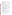EPA and will evaluate all eligible proposals using the criteria listed in the RFP and given a numerical score, with a total of 100 points possible. The criteria and possible number of points associated with each criterion are:

| <b>REVIEW CRITERIA</b>                                     | <b>MAXIMUM POINT SCORE</b> |
|------------------------------------------------------------|----------------------------|
| Project Approach                                           | 35                         |
| Environmental Results—Outcomes and Outputs                 | 20                         |
| Past Performance— Programmatic Capability and Reporting on | 20                         |
| <b>Environmental Results</b>                               |                            |
| <b>Staff Expertise/Qualifications</b>                      | 15                         |
| <b>Budget/Resources</b>                                    | 10                         |
| <b>TOTAL</b>                                               | 100                        |

Please review Section V of the RFP for more detailed information on what these criteria mean, and for more information on the review process. **Applicants should directly and explicitly address these criteria as part of their proposal submittal.**

## *15. Are matching funds required as a part of the proposal?*

**No.** Having matching funds as a part of the proposal is not a requirement for this RFP and all projects regardless of whether matching funds or in-kind resources are included will be reviewed and assessed. Please note however that *cost effectiveness* is listed as a key criteria for selection and having matching funds may improve the score of a proposal under this selection criteria.

## *16. What is the deadline for submitting a proposal?*

The closing time and date for receipt of proposals under this announcement is **February 22, 2008, by 4:00 p.m. Eastern Standard Time(EST)** for paper and email delivery applications, and **by 11:59 p.m. EST on February 22, 2008 for applications submitted through Grants.gov**. Proposals received after this time and date will not be considered.

#### *17. How competitive was the process last year?*

101 applications were submitted in response to last year's grant solicitation. Of these, approximately 25% were either fully or partially funded. A list of grantees awarded funding through last year's solicitation is available.

# *18. Where can I find form SF 424A?*

**This form and all other necessary forms for applying are available on the EPA M2M Grants page at: <www.epa.gov/methanetomarkets/pdf/app\_materials.pdf> and also on <www. grants.gov>** 

#### *19. What is the Catalog of Federal Domestic Assistance Number for this Proposal?*

It is listed on the title page of the announcement: CFDA #: 66.034

#### *20. Do all subcontractors need to be listed in a proposal?*

# **Guidance for this may be found in Section IV. E of the announcement**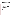Section V of the announcement describes the evaluation criteria and evaluation process that will be used by EPA to make selections under this announcement. During this evaluation, except for those criteria that relate to the applicant's own qualifications, past performance, and reporting history, the review panel will consider, if appropriate and relevant, the qualifications, expertise, and experience of:

(i) an applicant's named subawardees/subgrantees identified in the proposal/application if the applicant demonstrates in the proposal/application that if it receives an award that the subaward/subgrant will be properly awarded consistent with the applicable regulations in 40 CFR Parts 30 or 31. For example, applicants must not use subawards/subgrants to obtain commercial services or products from for profit firms or individual consultants.

(ii) an applicant's named contractor(s), including consultants, identified in the proposal/application if the applicant demonstrates in its proposal/application that the contractor(s) was selected in compliance with the competitive Procurement Standards in 40 CFR Part 30 or 40 CFR 31.36 as appropriate. For example, an applicant must demonstrate that it selected the contractor(s) competitively or that a proper non-competitive sole-source award consistent with the regulations will be made to the contractor(s), that efforts were made to provide small and disadvantaged businesses with opportunities to compete, and that some form of cost or price analysis was conducted. EPA may not accept sole source justifications for contracts for services or products that are otherwise readily available in the commercial marketplace.

EPA will not consider the qualifications, experience, and expertise of named subawardees/subgrantees and/or named contractor(s) during the proposal/application evaluation process unless the applicant complies with these requirements.

## *21. Are Employee Identification Numbers (EIN) and DUNS numbers required and how do I obtain one if I don't have one?*

An EIN number is not required of international applicants. A DUNS number is required and Section VI .C of the announcement provides guidance on obtaining one.

# *22. Can you review our ideas in a pre-proposal?*

- 1. **No**, EPA cannot provide pre-proposal review to Applicants or potential Applicants**.**
- 2. **However, we do encourage you to contact U.S. EPA sector experts to discuss your idea prior to submitting a proposal**.
	- 1. Landfills: [Brian Guzzone,](mailto:guzzone.brian@epa.gov) (guzzone.brian@epa.gov), (202) 343-9248
	- 2. Animal Waste Management: [Kurt Roos,](mailto:roos.kurt@epa.gov) (roos.kurt@epa.gov), (202) 343-9041
	- 3. Coal Mines: [Pamela Franklin](mailto:franklin.pamela@epa.gov), (franklin.pamela@epa.gov), (202) 343-9476
	- 4. Oil and Gas Systems: [Roger Fernandez](mailto:fernandez.roger@epa.gov), (fernandez.roger@epa.gov), (202) 343-9386
	- 5. Overarching Methane to Markets Projects: [Erin Birgfeld,](mailto:birgfeld.erin@epa.gov) (birgfeld.erin@epa.gov), Administrative Support Group, (202) 343-9079